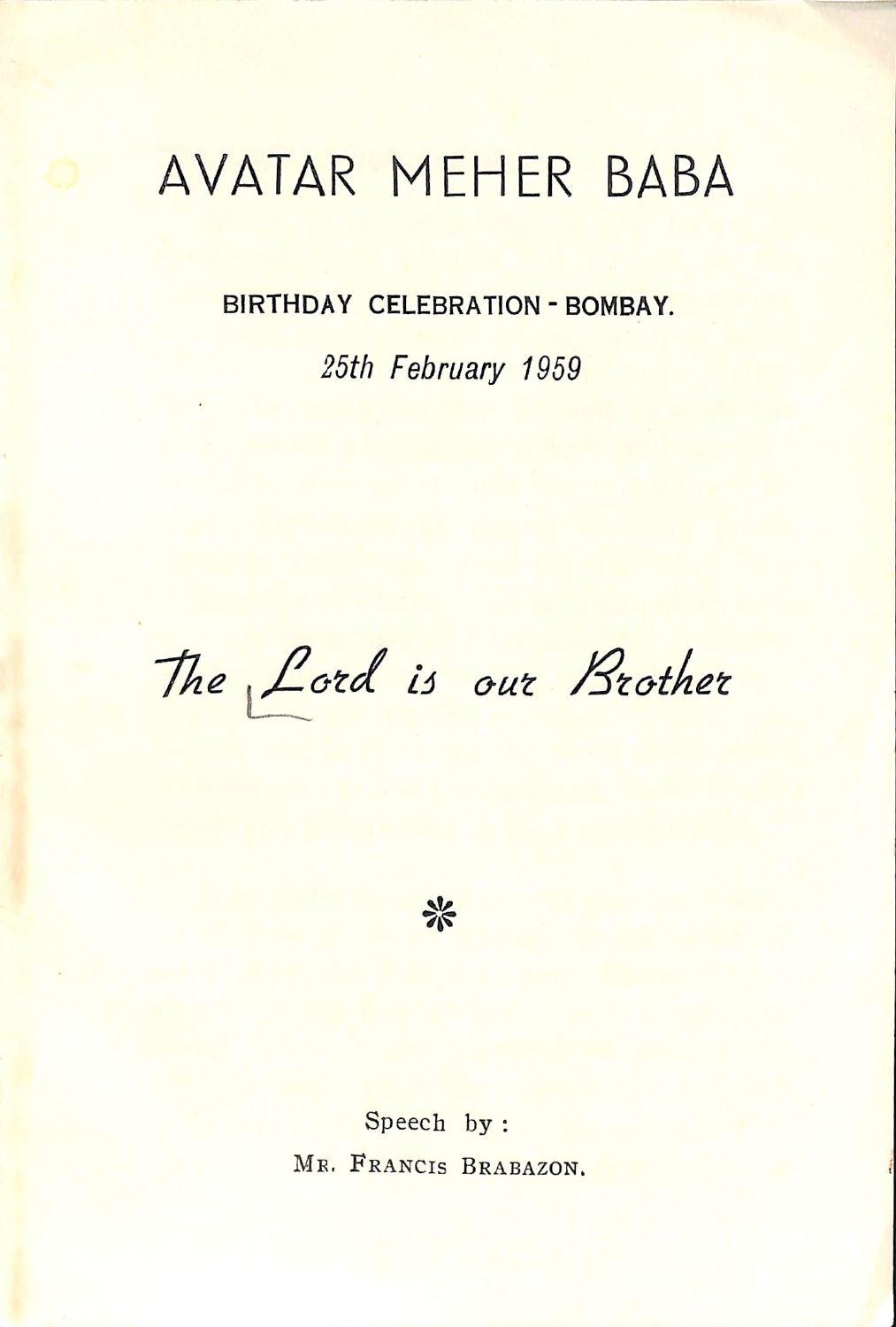## AVATAR MEHER BABA

BIRTHDAY CELEBRATION - BOMBAY.

25th February 1959

The Lord is our Brother



Speech by : MR. FRANCIS BRABAZON.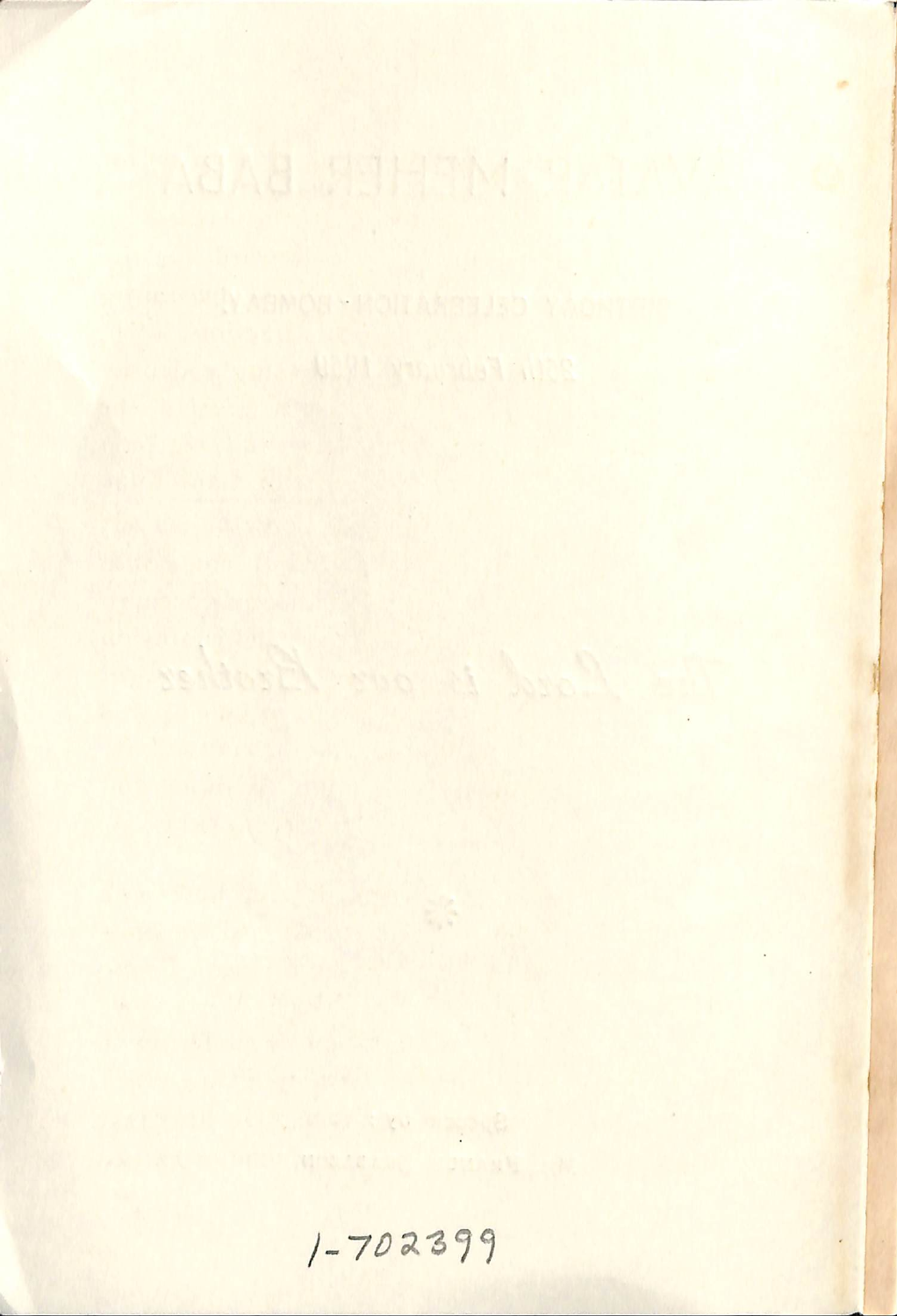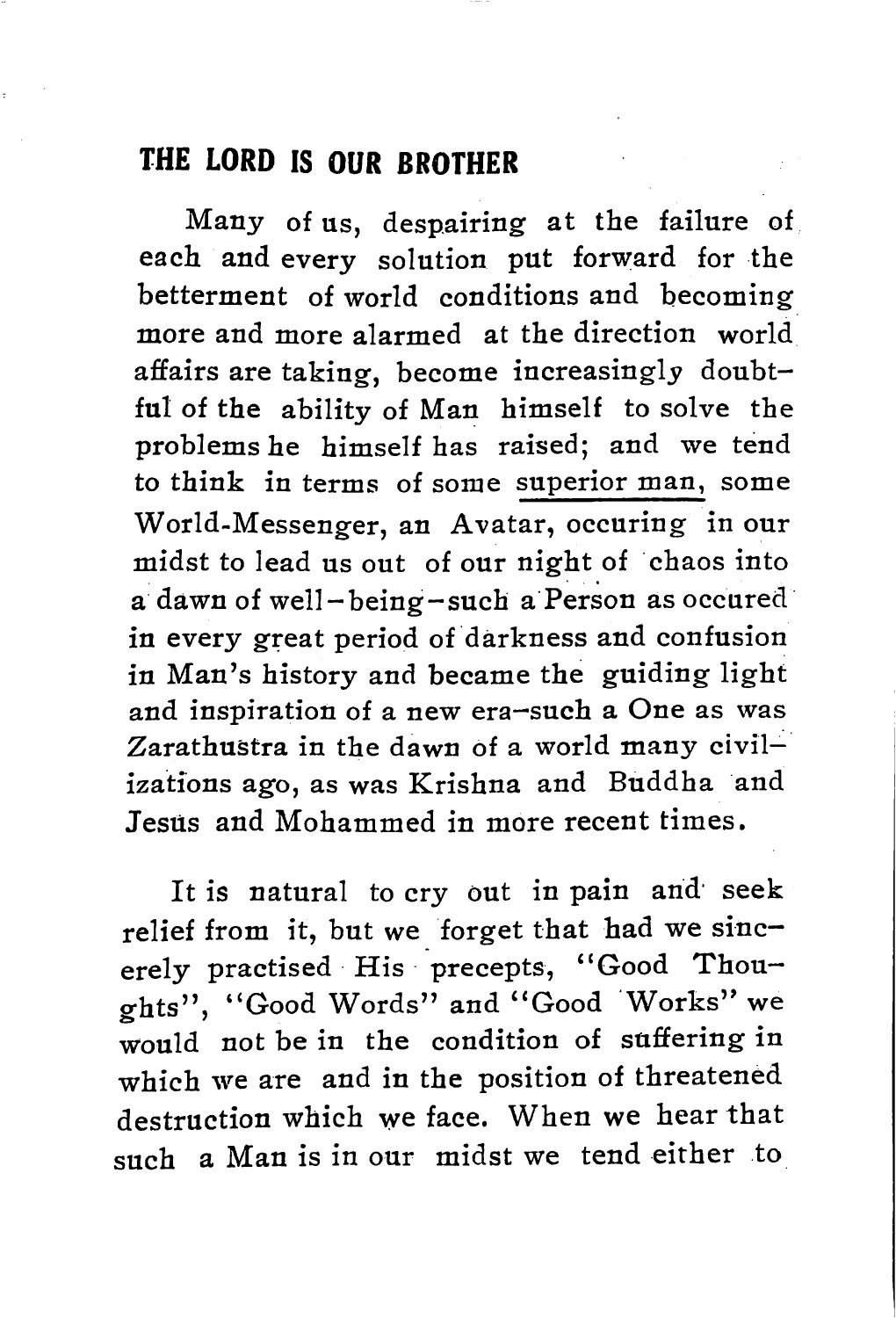## THE LORD IS OUR BROTHER

Many of us, despairing at the failure of each and every solution put forward for the betterment of world conditions and becoming more and more alarmed at the direction world affairs are taking, become increasingly doubt ful of the ability of Man himself to solve the problems he himself has raised; and we tend to think in terms of some superior man, some World-Messenger, an Avatar, occuring in our midst to lead us out of our night of chaos into a dawn of well-being-such a Person as occured in every great period of darkness and confusion in Man's history and became the guiding light and inspiration of a new era—such a One as was Zarathustra in the dawn of a world many civil izations ago, as was Krishna and Buddha and Jesus and Mohammed in more recent times.

It is natural to cry out in pain and' seek relief from it, but we forget that had we sinc erely practised His precepts, "Good Thou ghts", "Good Words" and "Good Works" we would not be in the condition of suffering in which we are and in the position of threatened destruction which we face. When we hear that such a Man is in our midst we tend either to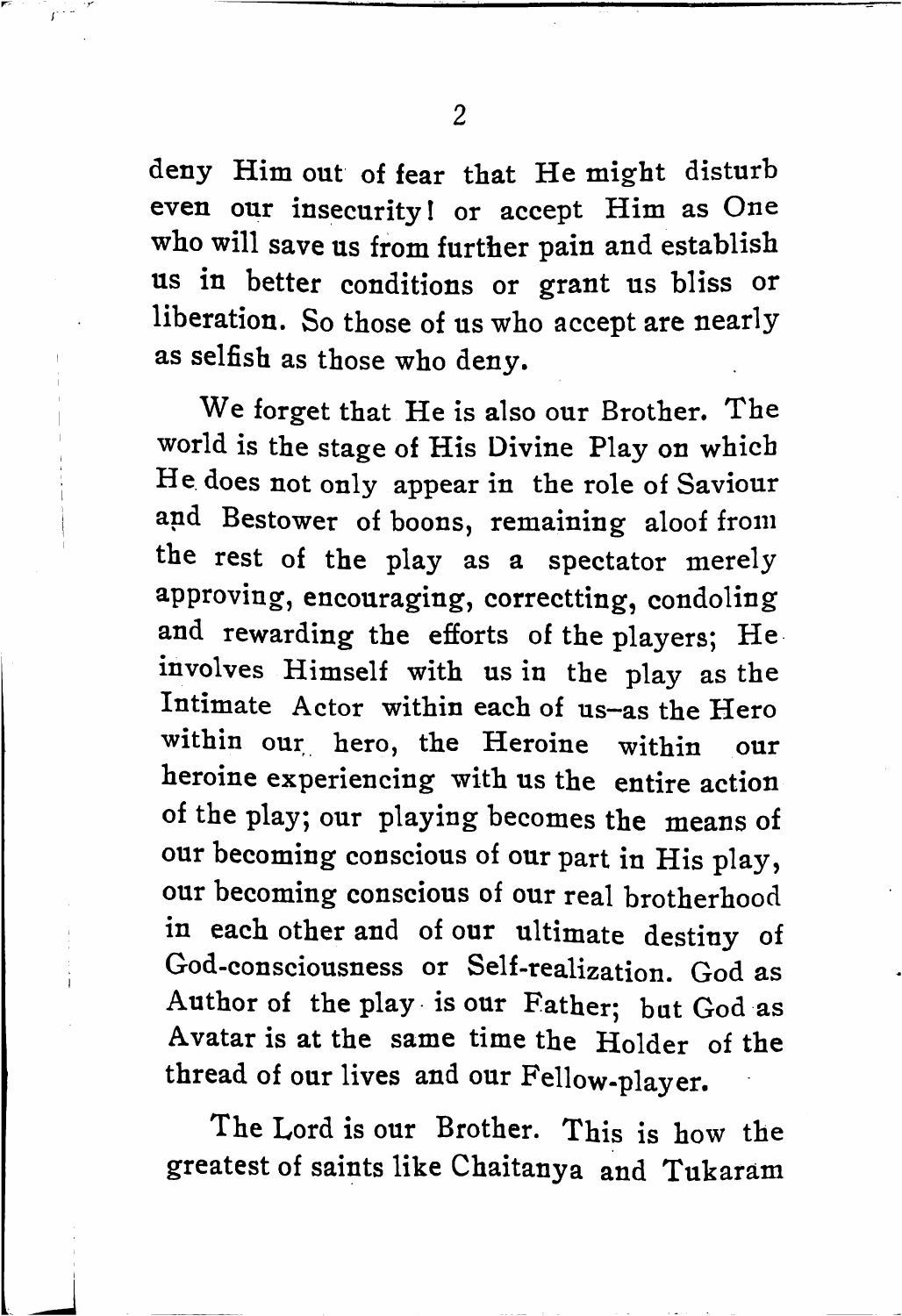deny Him out of fear that He might disturb even our insecurity! or accept Him as One who will save us from further pain and establish us in better conditions or grant us bliss or liberation. So those of us who accept are nearly as selfish as those who deny.

We forget that He is also our Brother. The world is the stage of His Divine Play on which He. does not only appear in the role of Saviour and Bestower of boons, remaining aloof from the rest of the play as a spectator merely approving, encouraging, correctting, condoling and rewarding the efforts of the players; He involves Himself with us in the play as the Intimate Actor within each of us-as the Hero within our hero, the Heroine within our heroine experiencing with us the entire action of the play; our playing becomes the means of our becoming conscious of our part in His play, our becoming conscious of our real brotherhood in each other and of our ultimate destiny of God-consciousness or Self-realization. God as Author of the play is our Father; but God as Avatar is at the same time the Holder of the thread of our lives and our Fellow-player.

The Lord is our Brother. This is how the greatest of saints like Chaitanya and Tukaram

 $\overline{2}$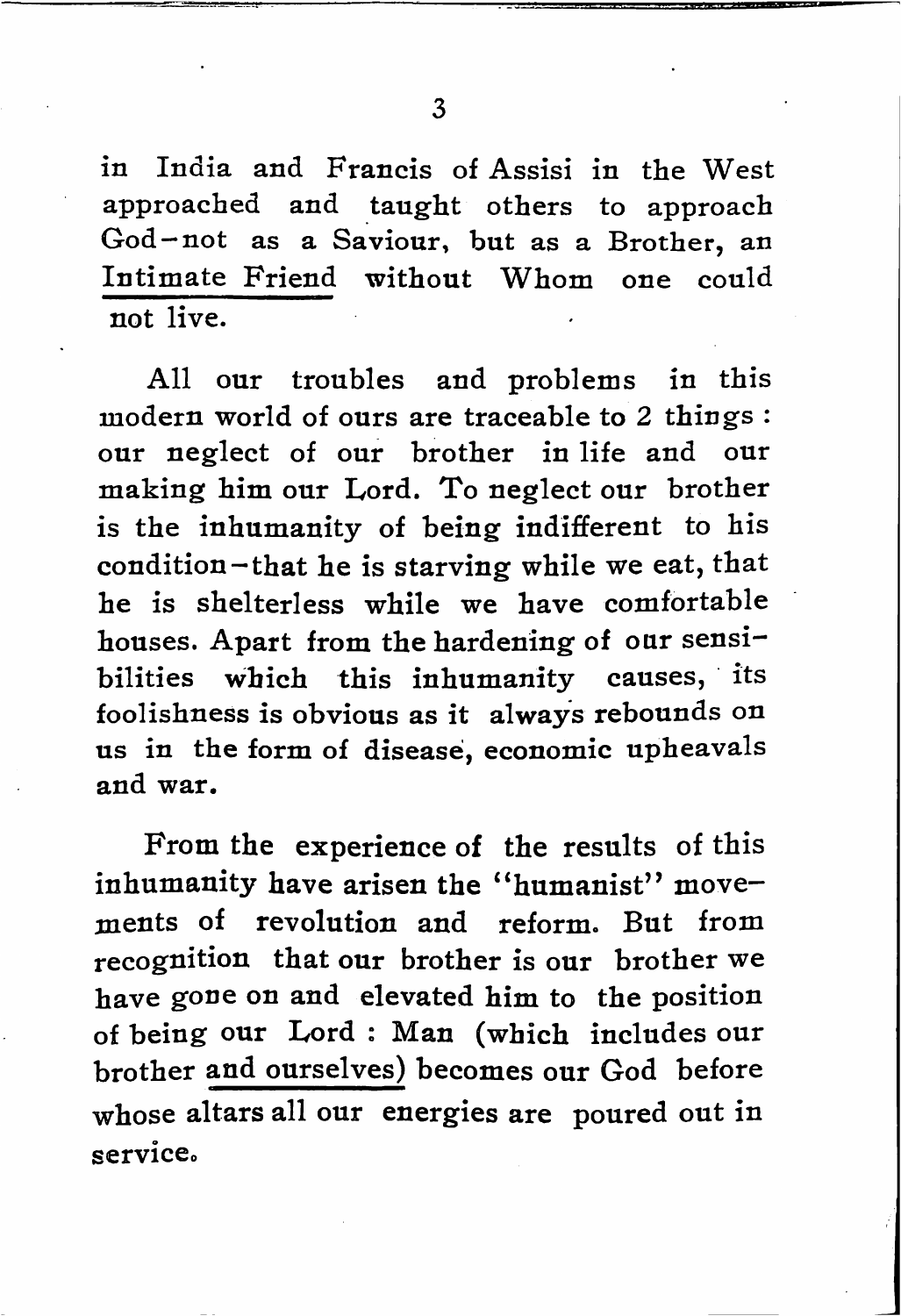$\overline{3}$ 

in India and Francis of Assisi in the West approached and taught others to approach God —not as a Saviour, but as a Brother, an Intimate Friend without Whom one could not live.

All our troubles and problems in this modern world of ours are traceable to 2 things : our neglect of our brother in life and our making him our Lord. To neglect our brother is the inhumanity of being indifferent to his condition-that he is starving while we eat, that he is shelterless while we have comfortable houses. Apart from the hardening of our sensi bilities which this inhumanity causes, its foolishness is obvious as it always rebounds on us in the form of disease, economic upheavals and war.

From the experience of the results of this inhumanity have arisen the "humanist" movements of revolution and reform. But from recognition that our brother is our brother we have gone on and elevated him to the position of being our Lord : Man (which includes our brother and ourselves) becomes our God before whose altars all our energies are poured out in service.